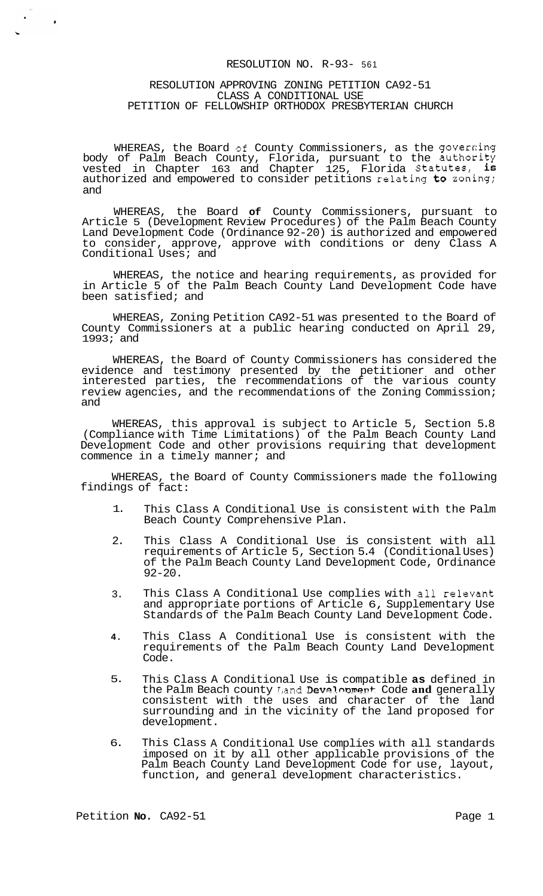# RESOLUTION NO. R-93- 561

#### RESOLUTION APPROVING ZONING PETITION CA92-51 CLASS A CONDITIONAL USE PETITION OF FELLOWSHIP ORTHODOX PRESBYTERIAN CHURCH

WHEREAS, the Board of County Commissioners, as the governing body of Palm Beach County, Florida, pursuant to the authority vested in Chapter 163 and Chapter 125, Florida Statutes, is authorized and empowered to consider petitions relating to zoning; and

WHEREAS, the Board **of** County Commissioners, pursuant to Article 5 (Development Review Procedures) of the Palm Beach County Land Development Code (Ordinance 92-20) is authorized and empowered to consider, approve, approve with conditions or deny Class A Conditional Uses; and

WHEREAS, the notice and hearing requirements, as provided for in Article 5 of the Palm Beach County Land Development Code have been satisfied; and

WHEREAS, Zoning Petition CA92-51 was presented to the Board of County Commissioners at a public hearing conducted on April 29, 1993; and

WHEREAS, the Board of County Commissioners has considered the evidence and testimony presented by the petitioner and other interested parties, the recommendations of the various county review agencies, and the recommendations of the Zoning Commission; and

WHEREAS, this approval is subject to Article 5, Section 5.8 (Compliance with Time Limitations) of the Palm Beach County Land Development Code and other provisions requiring that development commence in a timely manner; and

WHEREAS, the Board of County Commissioners made the following findings of fact:

- 1. This Class A Conditional Use is consistent with the Palm Beach County Comprehensive Plan.
- 2. This Class A Conditional Use is consistent with all requirements of Article 5, Section 5.4 (Conditional Uses) of the Palm Beach County Land Development Code, Ordinance 92-20.
- 3. This Class A Conditional Use complies with all relevant and appropriate portions of Article 6, Supplementary Use Standards of the Palm Beach County Land Development Code.
- **4.**  This Class A Conditional Use is consistent with the requirements of the Palm Beach County Land Development Code.
- 5. This Class A Conditional Use is compatible **as** defined in the Palm Beach county Land Devalopment Code and generally consistent with the uses and character of the land surrounding and in the vicinity of the land proposed for development.
- 6. This Class A Conditional Use complies with all standards imposed on it by all other applicable provisions of the Palm Beach County Land Development Code for use, layout, function, and general development characteristics.

<span id="page-0-0"></span> $\ddot{\cdot}$ 

 $\bullet$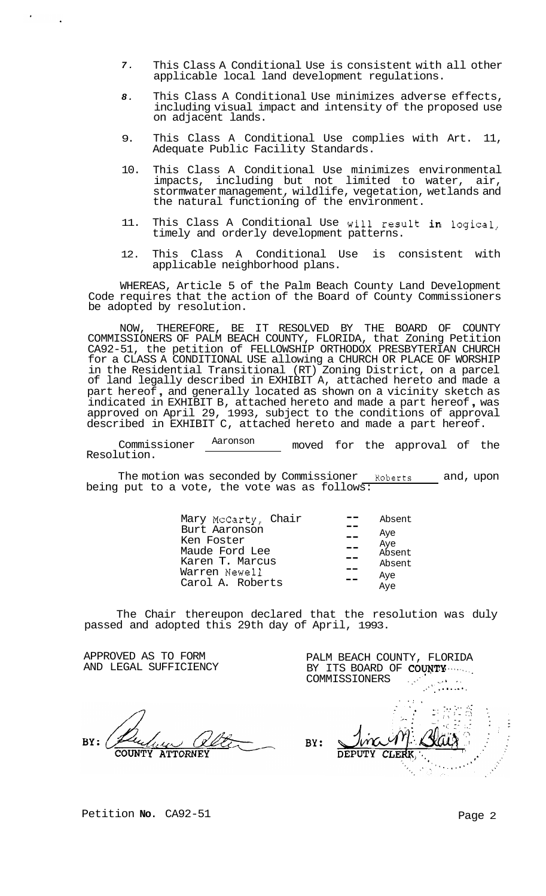- *7.*  This Class A Conditional Use is consistent with all other applicable local land development regulations.
- *8.*  This Class A Conditional Use minimizes adverse effects, including visual impact and intensity of the proposed use on adjacent lands.
- 9. This Class A Conditional Use complies with Art. 11, Adequate Public Facility Standards.
- 10. This Class A Conditional Use minimizes environmental impacts, including but not limited to water, air, stormwater management, wildlife, vegetation, wetlands and the natural functioning of the environment.
- 11. This Class A Conditional Use will result in logical, timely and orderly development patterns.
- 12. This Class A Conditional Use is consistent with applicable neighborhood plans.

WHEREAS, Article 5 of the Palm Beach County Land Development Code requires that the action of the Board of County Commissioners be adopted by resolution.

NOW, THEREFORE, BE IT RESOLVED BY THE BOARD OF COUNTY COMMISSIONERS OF PALM BEACH COUNTY, FLORIDA, that Zoning Petition CA92-51, the petition of FELLOWSHIP ORTHODOX PRESBYTERIAN CHURCH for a CLASS A CONDITIONAL USE allowing a CHURCH OR PLACE OF WORSHIP in the Residential Transitional (RT) Zoning District, on a parcel of land legally described in EXHIBIT A, attached hereto and made a part hereof , and generally located as shown on a vicinity sketch as indicated in EXHIBIT B, attached hereto and made a part hereof , was approved on April 29, 1993, subject to the conditions of approval described in EXHIBIT C, attached hereto and made a part hereof.

Commissioner  $\frac{\text{Aaronson}}{\text{Auron}}$  moved for the approval of the Resolution.

The motion was seconded by Commissioner Roberts and, upon being put to a vote, the vote was as follows:

| Mary McCarty, Chair | Absent |
|---------------------|--------|
| Burt Aaronson       | Aye    |
| Ken Foster          | Aye    |
| Maude Ford Lee      | Absent |
| Karen T. Marcus     | Absent |
| Warren Newell       | Aye    |
| Carol A. Roberts    | Aye    |

The Chair thereupon declared that the resolution was duly passed and adopted this 29th day of April, 1993.

APPROVED AS TO FORM AND LEGAL SUFFICIENCY

RY: **ATTORNEY** 

BY ITS BOARD OF **COUNTY** .......<br>COMMISSIONERS COMMISSIONERS .. \_....' ,., I , . ,. ,. .. -.. , .. . . . .- BY:

PALM BEACH COUNTY, FLORIDA

Petition **No.** CA92-51 Petition **No.** 2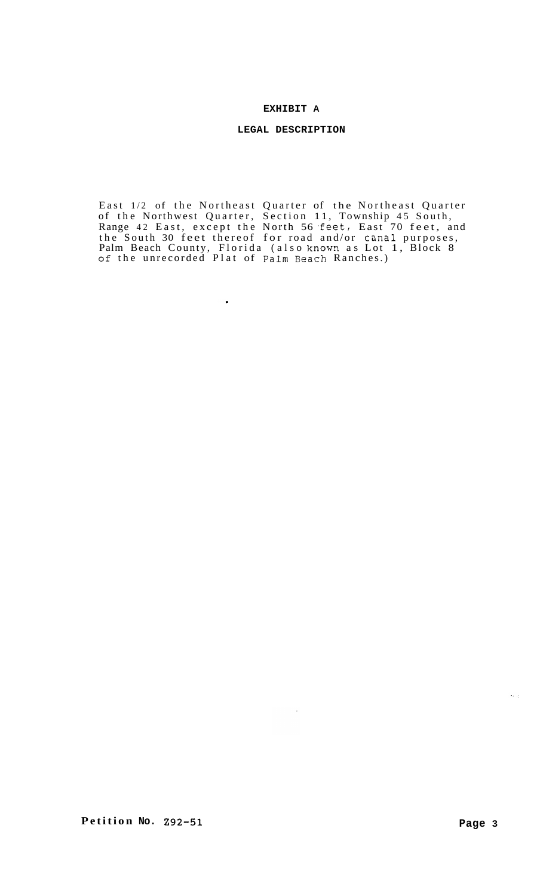# **EXHIBIT A**

# **LEGAL DESCRIPTION**

East 1/2 of the Northeast Quarter of the Northeast Quarter of the Northwest Quarter, Section 11, Township 45 South, Range 42 East, except the North 56 feet, East 70 feet, and the South 30 feet thereof for road and/or canal purposes, Palm Beach County, Florida (also known as Lot 1, Block 8 **Of** the unrecorded Plat of Palm Beach Ranches.)

 $\hat{\mathcal{A}}$ 

 $\bullet$ 

 $\omega_{\rm{c}}$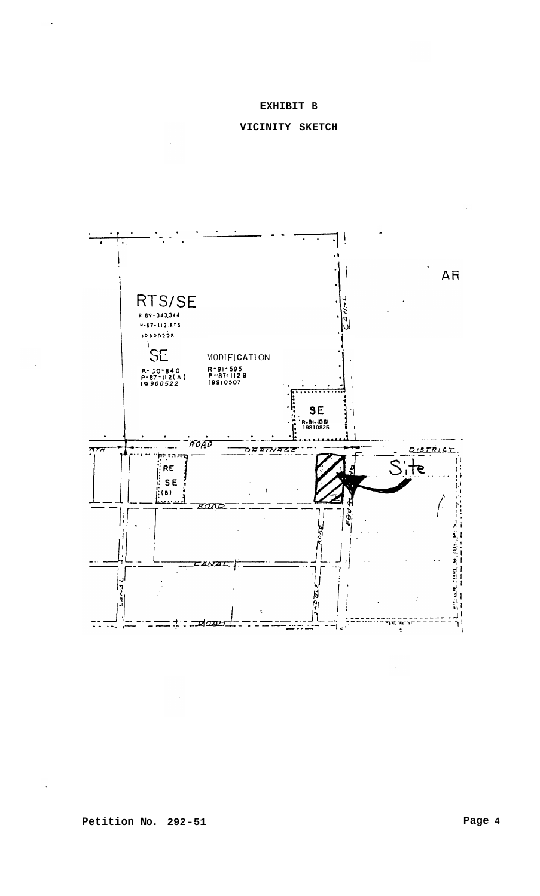# **EXHIBIT B**

# **VICINITY SKETCH**



**Petition No. 292-51**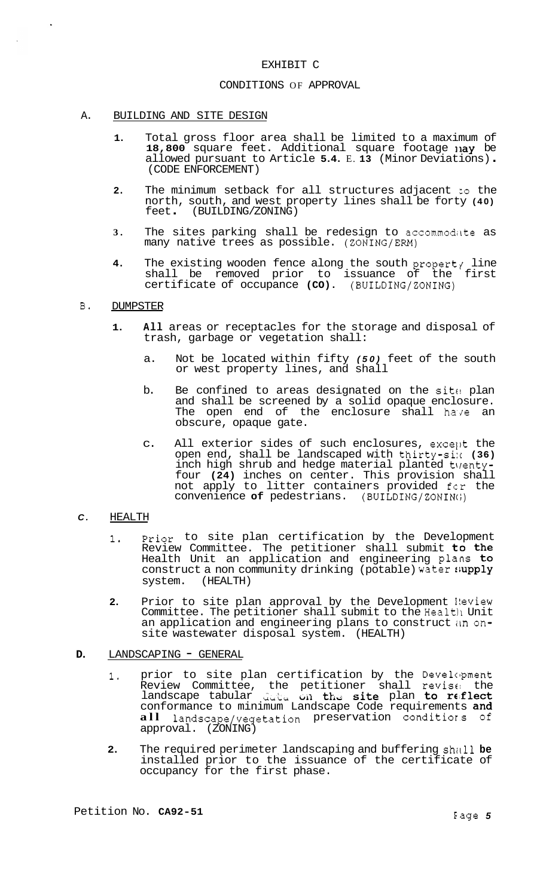#### EXHIBIT C

# CONDITIONS OF APPROVAL

#### A. BUILDING AND SITE DESIGN

- **1.** Total gross floor area shall be limited to a maximum of 18,800 square feet. Additional square footage nay be allowed pursuant to Article **5.4.** E. **13** (Minor Deviations) . (CODE ENFORCEMENT)
- 2. The minimum setback for all structures adjacent to the north, south, and west property lines shall be forty **(40)**  feet . (BUILDING/ ZONING)
- 3. The sites parking shall be redesign to accommodate as many native trees as possible. (ZONING/ERM)
- **4.** The existing wooden fence along the south propert $\gamma$  line shall be removed prior to issuance of the first certificate of occupance **(CO).** (BUILDING/ZONING)

### B. DUMPSTER

- **1. All** areas or receptacles for the storage and disposal of trash, garbage or vegetation shall:
	- a. Not be located within fifty *(50)* feet of the south or west property lines, and shall
	- b. Be confined to areas designated on the site plan and shall be screened by a solid opaque enclosure. The open end of the enclosure shall have an obscure, opaque gate.
	- c. All exterior sides of such enclosures, except the open end, shall be landscaped with thirty-six (36) inch high shrub and hedge material planted twentyfour **(24)** inches on center. This provision shall not apply to litter containers provided fcr the convenience **of** pedestrians. (BUILDING/ZONINc;)

# *C.* HEALTH

- **1.** prior to site plan certification by the Development Review Committee. The petitioner shall submit **to** the Health Unit an application and engineering plans to construct a non community drinking (potable) water  ${\sf {iupply}}$  system. (HEALTH) (HEALTH)
- **2.** Prior to site plan approval by the Development I!eview Committee. The petitioner shall submit to the Health Unit an application and engineering plans to construct im onsite wastewater disposal system. (HEALTH)

# **D.** LANDSCAPING - GENERAL

- 1. prior to site plan certification by the Development Review Committee, the petitioner shall revis€! the landscape tabular LL, **bil** thd Site plan to r€.fleCt conformance to minimum Landscape Code requirements and **all** landscape/vegetation preservation conditiors of approval. (ZONING)
- **2.** The required perimeter landscaping and buffering shall be installed prior to the issuance of the certificate of occupancy for the first phase.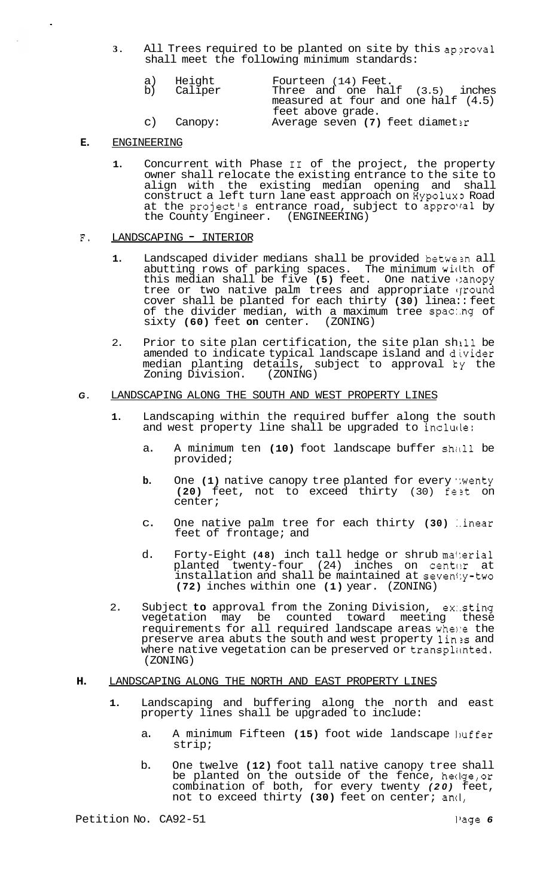**3.** All Trees required to be planted on site by this approval shall meet the following minimum standards:

| a) Height  | Fourteen (14) Feet.                 |
|------------|-------------------------------------|
| b) Caliper | Three and one $half$ $(3.5)$ inches |
|            | measured at four and one half (4.5) |
|            | feet above grade.                   |
| c) Canopy: | Average seven (7) feet diameter     |

#### **E.**  ENGINEERING

**1.** Concurrent with Phase I1 of the project, the property owner shall relocate the existing entrance to the site to align with the existing median opening and shall construct a left turn lane east approach on Hypolux3 Road at the project's entrance road, subject to approval by the County Engineer. (ENGINEERING)

### F. LANDSCAPING - INTERIOR

- 1. Landscaped divider medians shall be provided between all abutting rows of parking spaces. The minimum wiclth of this median shall be five **(5)** feet. One native 1:anopy tree or two native palm trees and appropriate ground cover shall be planted for each thirty **(30)** linea:: feet of the divider median, with a maximum tree spac:.ng of sixty **(60)** feet **on** center. (ZONING)
- 2. Prior to site plan certification, the site plan shill be amended to indicate typical landscape island and divider median planting details, subject to approval **ky** the Zoning Division.

### *G.* LANDSCAPING ALONG THE SOUTH AND WEST PROPERTY LINES

- **1.** Landscaping within the required buffer along the south and west property line shall be upgraded to include:
	- a. A minimum ten (10) foot landscape buffer shall be provided;
	- **b.** One (1) native canopy tree planted for every wenty **(20)** feet, not to exceed thirty (30) fezt on center;
	- c. One native palm tree for each thirty **(30)** :.inear feet of frontage; and
	- d. Forty-Eight **(48)** inch tall hedge or shrub ma4:erial planted twenty-four (24) inches on center at installation and shall be maintained at seven1:y-two **(72)** inches within one **(1)** year. (ZONING)
- 2. Subject **to** approval from the Zoning Division, ex:.sting vegetation may be counted toward meeting these requirements for all required landscape areas whene the preserve area abuts the south and west property lin is and where native vegetation can be preserved or transplanted. (ZONING)

#### **H.** LANDSCAPING ALONG THE NORTH AND EAST PROPERTY LINES

- **1.** Landscaping and buffering along the north and east property lines shall be upgraded to include:
	- a. A minimum Fifteen (15) foot wide landscape huffer strip;
	- b. One twelve **(12)** foot tall native canopy tree shall be planted on the outside of the fence, hecIge,or combination of both, for every twenty *(20)* feet, not to exceed thirty **(30)** feet on center; ancI,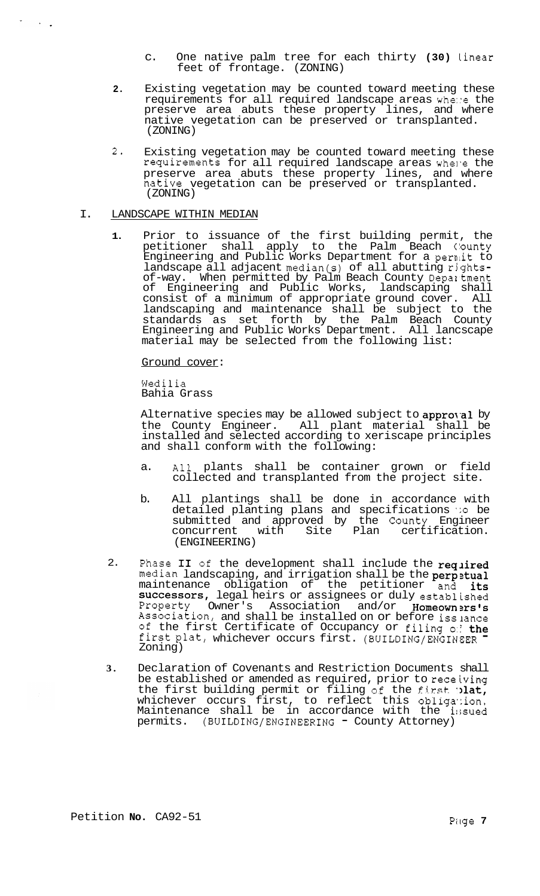- c. One native palm tree for each thirty **(30)** linear feet of frontage. (ZONING)
- **2.** Existing vegetation may be counted toward meeting these requirements for all required landscape areas whe::e the preserve area abuts these property lines, and where native vegetation can be preserved or transplanted. (ZONING)
- 2- Existing vegetation may be counted toward meeting these requirements for all required landscape areas whene the preserve area abuts these property lines, and where native vegetation can be preserved or transplanted. (ZONING)

#### I. LANDSCAPE WITHIN MEDIAN

 $\langle \cdot \rangle$  .

**1.** Prior to issuance of the first building permit, the petitioner shall apply to the Palm Beach County .<br>Engineering and Public Works Department for a permit to landscape all adjacent median(s) of all abutting rightsof-way. When permitted by Palm Beach County Depaltment of Engineering and Public Works, landscaping shall consist of a minimum of appropriate ground cover. All landscaping and maintenance shall be subject to the standards as set forth by the Palm Beach County Engineering and Public Works Department. All lancscape material may be selected from the following list:

Ground cover:

Wedilia Bahia Grass

Alternative species may be allowed subject to approval by the County Engineer. All plant material shall be installed and selected according to xeriscape principles and shall conform with the following:

- a. All plants shall be container grown or field collected and transplanted from the project site.
- b. All plantings shall be done in accordance with detailed planting plans and specifications *':o* be submitted and approved by the County Engineer concurrent with Site Plan certification. (ENGINEERING)
- 2. Phase II of the development shall include the required median landscaping, and irrigation shall be the perpetual maintenance obligation of the petitioner and its successors, legal heirs or assignees or duly established Property Owner's Association and/or Homeowners's Association, and shall be installed on or before isslance of the first Certificate of Occupancy or filing *0:;* the first plat, whichever occurs first. (BUILDING/ENGINEER Zoning)
- **3.**  Declaration of Covenants and Restriction Documents shall be established or amended as required, prior to receiving the first building permit or filing of the first. **Ilat,** whichever occurs first, to reflect this obligation. Maintenance shall be in accordance with the i:;sued permits. (BUILDING/ENGINEERING - County Attorney)